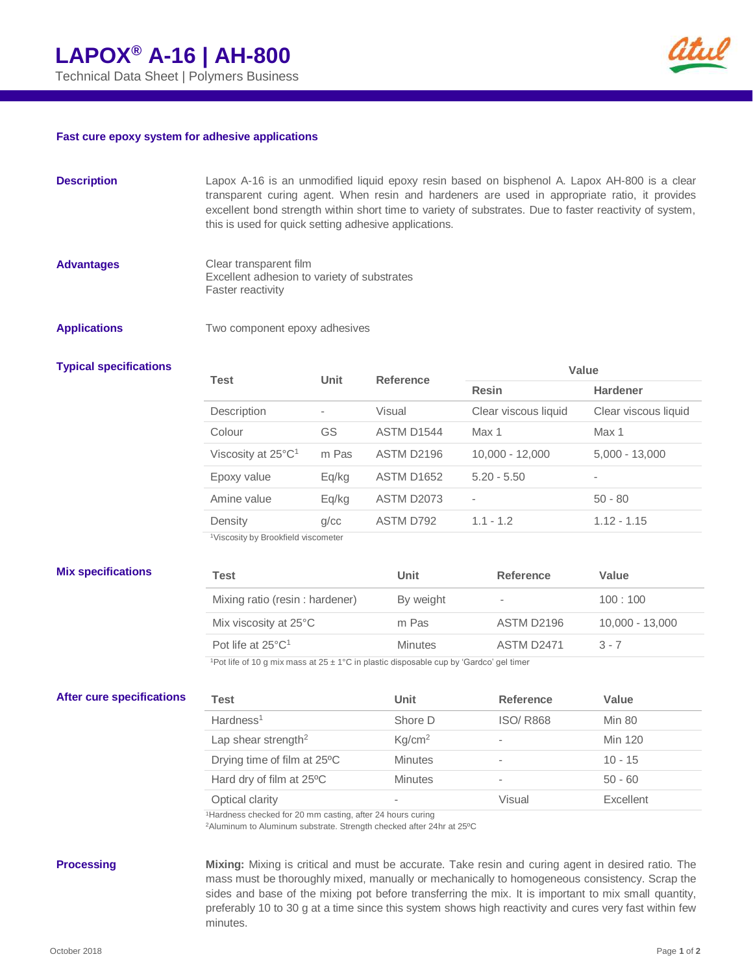Technical Data Sheet | Polymers Business



## **Fast cure epoxy system for adhesive applications**

- **Description** Lapox A-16 is an unmodified liquid epoxy resin based on bisphenol A. Lapox AH-800 is a clear transparent curing agent. When resin and hardeners are used in appropriate ratio, it provides excellent bond strength within short time to variety of substrates. Due to faster reactivity of system, this is used for quick setting adhesive applications.
- **Advantages** Clear transparent film Excellent adhesion to variety of substrates Faster reactivity
- **Applications** Two component epoxy adhesives

## **Typical specifications**

| <b>Test</b>                    | Unit                     | <b>Reference</b>  |                      |                      |  |
|--------------------------------|--------------------------|-------------------|----------------------|----------------------|--|
|                                |                          |                   | <b>Resin</b>         | <b>Hardener</b>      |  |
| Description                    | $\overline{\phantom{a}}$ | Visual            | Clear viscous liquid | Clear viscous liquid |  |
| Colour                         | GS                       | ASTM D1544        | Max 1                | Max 1                |  |
| Viscosity at 25°C <sup>1</sup> | m Pas                    | ASTM D2196        | 10.000 - 12.000      | $5,000 - 13,000$     |  |
| Epoxy value                    | Eq/kg                    | <b>ASTM D1652</b> | $5.20 - 5.50$        | -                    |  |
| Amine value                    | Eq/kg                    | <b>ASTM D2073</b> | ٠                    | $50 - 80$            |  |
| Density                        | q/cc                     | ASTM D792         | $1.1 - 1.2$          | $1.12 - 1.15$        |  |
| .                              |                          |                   |                      |                      |  |

**Value**

<sup>1</sup>Viscosity by Brookfield viscometer

| <b>Mix specifications</b> | Test                           | Unit           | Reference  | Value             |
|---------------------------|--------------------------------|----------------|------------|-------------------|
|                           | Mixing ratio (resin: hardener) | By weight      |            | 100:100           |
|                           | Mix viscosity at 25°C          | m Pas          | ASTM D2196 | $10,000 - 13,000$ |
|                           | Pot life at $25^{\circ}C^1$    | <b>Minutes</b> | ASTM D2471 | $3 - 7$           |

<sup>1</sup>Pot life of 10 g mix mass at  $25 \pm 1$ °C in plastic disposable cup by 'Gardco' gel timer

## **After cure specifications**

| Test                            | <b>Unit</b>        | <b>Reference</b>         | Value         |
|---------------------------------|--------------------|--------------------------|---------------|
| Hardness <sup>1</sup>           | Shore D            | <b>ISO/R868</b>          | <b>Min 80</b> |
| Lap shear strength <sup>2</sup> | Kq/cm <sup>2</sup> | $\overline{\phantom{a}}$ | Min 120       |
| Drying time of film at 25°C     | <b>Minutes</b>     | $\overline{\phantom{a}}$ | $10 - 15$     |
| Hard dry of film at 25°C        | <b>Minutes</b>     | $\overline{\phantom{a}}$ | $50 - 60$     |
| Optical clarity                 | ۰                  | Visual                   | Excellent     |

<sup>1</sup>Hardness checked for 20 mm casting, after 24 hours curing

<sup>2</sup>Aluminum to Aluminum substrate. Strength checked after 24hr at 25ºC

**Processing Mixing:** Mixing is critical and must be accurate. Take resin and curing agent in desired ratio. The mass must be thoroughly mixed, manually or mechanically to homogeneous consistency. Scrap the sides and base of the mixing pot before transferring the mix. It is important to mix small quantity, preferably 10 to 30 g at a time since this system shows high reactivity and cures very fast within few minutes.